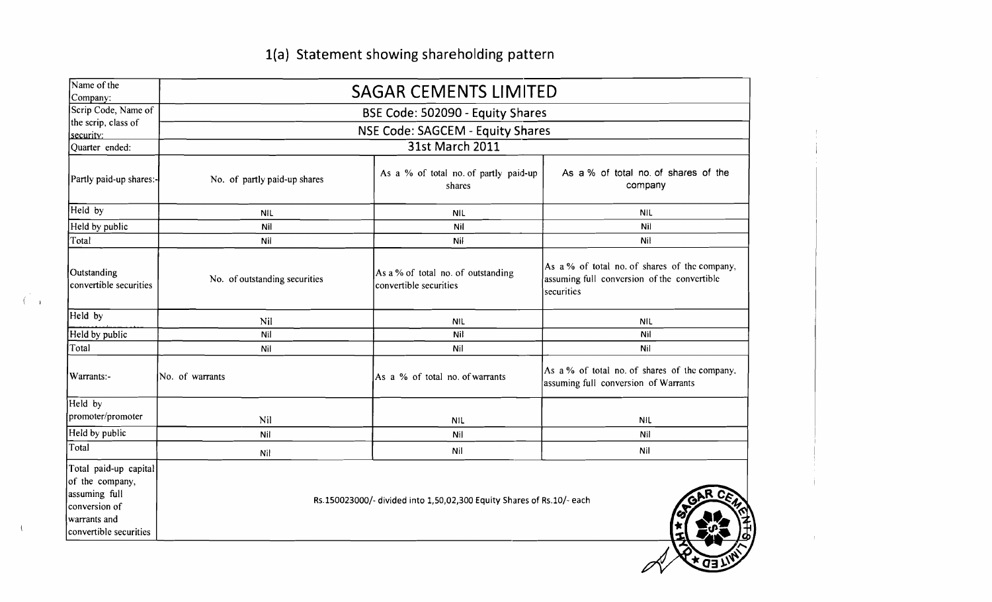## 1(a) Statement showing shareholding pattern

| Name of the<br>Company:                                                                                              | <b>SAGAR CEMENTS LIMITED</b>     |                                                                       |                                                                                                            |  |  |  |  |  |  |  |
|----------------------------------------------------------------------------------------------------------------------|----------------------------------|-----------------------------------------------------------------------|------------------------------------------------------------------------------------------------------------|--|--|--|--|--|--|--|
| Scrip Code, Name of                                                                                                  |                                  | BSE Code: 502090 - Equity Shares                                      |                                                                                                            |  |  |  |  |  |  |  |
| the scrip, class of<br>security:                                                                                     | NSE Code: SAGCEM - Equity Shares |                                                                       |                                                                                                            |  |  |  |  |  |  |  |
| Quarter ended:                                                                                                       | 31st March 2011                  |                                                                       |                                                                                                            |  |  |  |  |  |  |  |
| Partly paid-up shares:-                                                                                              | No. of partly paid-up shares     | As a % of total no. of partly paid-up<br>shares                       | As a % of total no. of shares of the<br>company                                                            |  |  |  |  |  |  |  |
| Held by                                                                                                              | <b>NIL</b>                       | <b>NIL</b>                                                            | <b>NIL</b>                                                                                                 |  |  |  |  |  |  |  |
| Held by public                                                                                                       | Nil                              | Nil                                                                   | Nil                                                                                                        |  |  |  |  |  |  |  |
| Total                                                                                                                | Nil                              | Nil                                                                   | Nil                                                                                                        |  |  |  |  |  |  |  |
| Outstanding<br>convertible securities                                                                                | No. of outstanding securities    | As a % of total no. of outstanding<br>convertible securities          | As a % of total no. of shares of the company,<br>assuming full conversion of the convertible<br>securities |  |  |  |  |  |  |  |
| Held by                                                                                                              | Nil                              | <b>NIL</b>                                                            | <b>NIL</b>                                                                                                 |  |  |  |  |  |  |  |
| Held by public                                                                                                       | Nil                              | Nil                                                                   | Nil                                                                                                        |  |  |  |  |  |  |  |
| Total                                                                                                                | Nil                              | Nil                                                                   | Nil                                                                                                        |  |  |  |  |  |  |  |
| Warrants:-                                                                                                           | No. of warrants                  | As a % of total no. of warrants                                       | As a % of total no. of shares of the company,<br>assuming full conversion of Warrants                      |  |  |  |  |  |  |  |
| Held by                                                                                                              |                                  |                                                                       |                                                                                                            |  |  |  |  |  |  |  |
| promoter/promoter                                                                                                    | Nil                              | NIL                                                                   | <b>NIL</b>                                                                                                 |  |  |  |  |  |  |  |
| Held by public                                                                                                       | Nit                              | Nil                                                                   | Nil                                                                                                        |  |  |  |  |  |  |  |
| Total                                                                                                                | Nil                              | Nil                                                                   | Nil                                                                                                        |  |  |  |  |  |  |  |
| Total paid-up capital<br>of the company,<br>assuming full<br>conversion of<br>warrants and<br>convertible securities |                                  | Rs.150023000/- divided into 1,50,02,300 Equity Shares of Rs.10/- each |                                                                                                            |  |  |  |  |  |  |  |

 $\overline{C}$  ,

 $\langle$ 

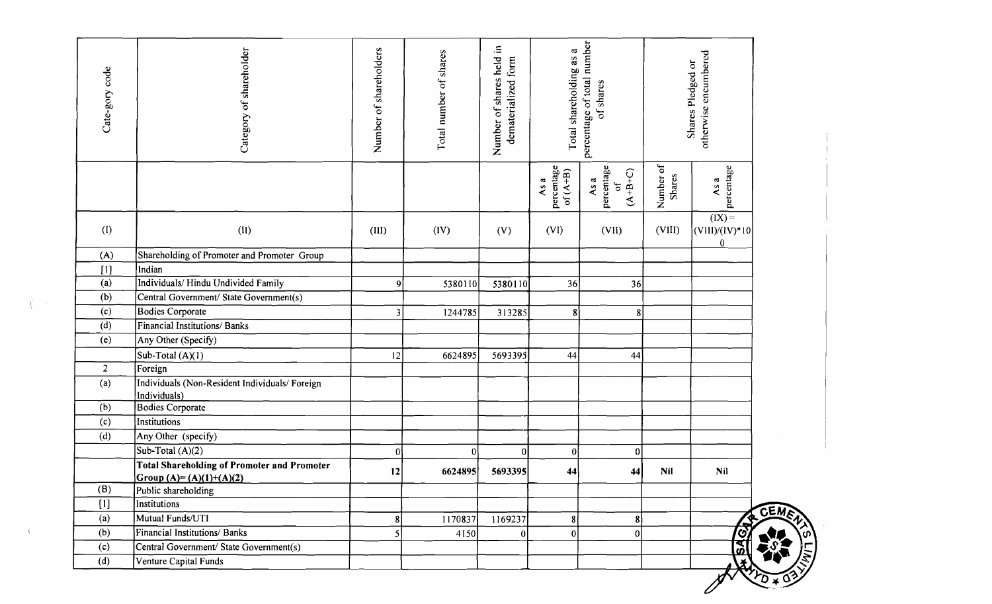| Cate-gory code | Category of shareholder                                                         | Number of shareholders | Total number of shares | Number of shares held in<br>dematerialized form | Total shareholding as a          | percentage of total number<br>of shares     |                            | otherwise encumbered<br>Shares Pledged or            |
|----------------|---------------------------------------------------------------------------------|------------------------|------------------------|-------------------------------------------------|----------------------------------|---------------------------------------------|----------------------------|------------------------------------------------------|
|                |                                                                                 |                        |                        |                                                 | percentage<br>$of (A+B)$<br>As a | percentage<br>$(A+B+C)$<br>As a<br>$\sigma$ | Number of<br><b>Shares</b> | percentage<br>As a                                   |
| (1)            | (II)                                                                            | (III)                  | (IV)                   | (V)                                             | (VI)                             | (VII)                                       | (VIII)                     | $\overline{(IX)}$<br>$ (V111)/(1V)^*10 $<br>$\bf{0}$ |
| (A)            | Shareholding of Promoter and Promoter Group                                     |                        |                        |                                                 |                                  |                                             |                            |                                                      |
| [1]            | Indian                                                                          |                        |                        |                                                 |                                  |                                             |                            |                                                      |
| (a)            | Individuals/ Hindu Undivided Family                                             | 9                      | 5380110                | 5380110                                         | 36                               | 36                                          |                            |                                                      |
| (b)            | Central Government/ State Government(s)                                         |                        |                        |                                                 |                                  |                                             |                            |                                                      |
| (c)            | <b>Bodies Corporate</b>                                                         | 3 <sup>1</sup>         | 1244785                | 313285                                          | $\boldsymbol{8}$                 | $\bf{8}$                                    |                            |                                                      |
| (d)            | <b>Financial Institutions/Banks</b>                                             |                        |                        |                                                 |                                  |                                             |                            |                                                      |
| (e)            | Any Other (Specify)                                                             |                        |                        |                                                 |                                  |                                             |                            |                                                      |
|                | Sub-Total $(A)(1)$                                                              | 12                     | 6624895                | 5693395                                         | 44                               | 44                                          |                            |                                                      |
| $\overline{2}$ | Foreign                                                                         |                        |                        |                                                 |                                  |                                             |                            |                                                      |
| (a)            | Individuals (Non-Resident Individuals/Foreign<br>Individuals)                   |                        |                        |                                                 |                                  |                                             |                            |                                                      |
| (b)            | <b>Bodies Corporate</b>                                                         |                        |                        |                                                 |                                  |                                             |                            |                                                      |
| (c)            | Institutions                                                                    |                        |                        |                                                 |                                  |                                             |                            |                                                      |
| (d)            | Any Other (specify)                                                             |                        |                        |                                                 |                                  |                                             |                            |                                                      |
|                | Sub-Total (A)(2)                                                                | 01                     |                        | $\Omega$                                        | $\Omega$                         | $\bf{0}$                                    |                            |                                                      |
|                | <b>Total Shareholding of Promoter and Promoter</b><br>Group $(A)=(A)(1)+(A)(2)$ | 12                     | 6624895                | 5693395                                         | 44                               | 44                                          | <b>Nil</b>                 | <b>Nil</b>                                           |
| (B)            | Public shareholding                                                             |                        |                        |                                                 |                                  |                                             |                            |                                                      |
| $[1]$          | Institutions                                                                    |                        |                        |                                                 |                                  |                                             |                            |                                                      |
| (a)            | Mutual Funds/UTI                                                                | $\lvert 8 \rvert$      | 1170837                | 1169237                                         | 8                                | $\lvert 8 \rvert$                           |                            |                                                      |
| (b)            | Financial Institutions/ Banks                                                   | 5                      | 4150                   | $\Omega$                                        | 0                                | 0                                           |                            | <u>जि</u><br>उप                                      |
| (c)            | Central Government/ State Government(s)                                         |                        |                        |                                                 |                                  |                                             |                            |                                                      |
| (d)            | Venture Capital Funds                                                           |                        |                        |                                                 |                                  |                                             |                            |                                                      |

 $\mathcal{X}$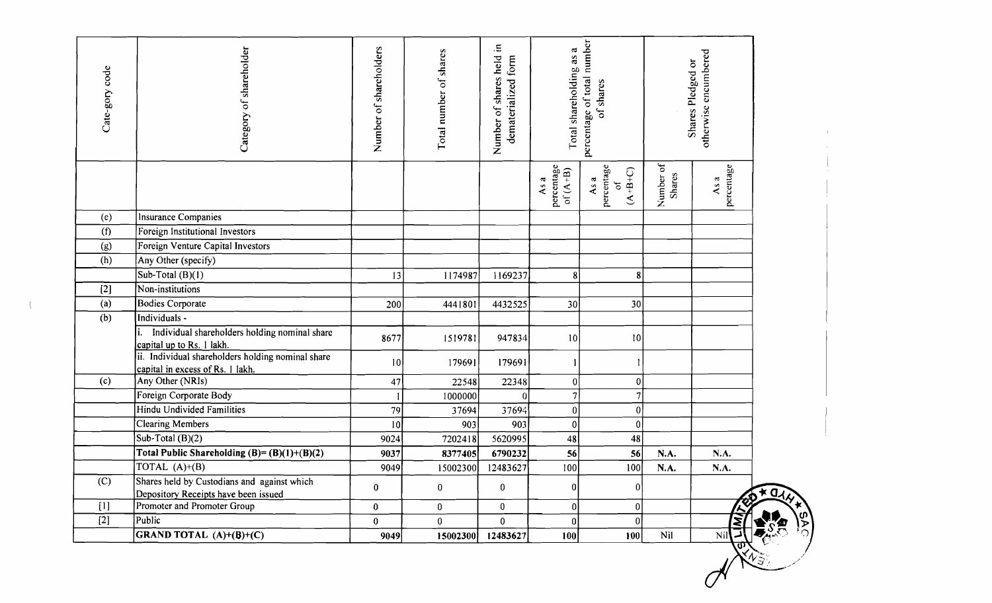| Cate-gory code | Category of shareholder                                                               | Number of shareholders | Total number of shares | Number of shares held in<br>dematerialized form | Total shareholding as a          | percentage of total number<br>of shares           |                     | otherwise encumbered<br>Shares Pledged or |     |
|----------------|---------------------------------------------------------------------------------------|------------------------|------------------------|-------------------------------------------------|----------------------------------|---------------------------------------------------|---------------------|-------------------------------------------|-----|
|                |                                                                                       |                        |                        |                                                 | percentage<br>of $(A+B)$<br>As a | percentage<br>$(A+B+C)$<br>As a<br>$\mathfrak{b}$ | Number of<br>Shares | percentage<br>As a                        |     |
| (e)            | Insurance Companies                                                                   |                        |                        |                                                 |                                  |                                                   |                     |                                           |     |
| (f)            | Foreign Institutional Investors                                                       |                        |                        |                                                 |                                  |                                                   |                     |                                           |     |
| (g)            | Foreign Venture Capital Investors                                                     |                        |                        |                                                 |                                  |                                                   |                     |                                           |     |
| (h)            | Any Other (specify)                                                                   |                        |                        |                                                 |                                  |                                                   |                     |                                           |     |
|                | Sub-Total (B)(1)                                                                      | 13                     | 1174987                | 1169237                                         | $\bf{8}$                         | 8                                                 |                     |                                           |     |
| $[2]$          | Non-institutions                                                                      |                        |                        |                                                 |                                  |                                                   |                     |                                           |     |
| (a)            | <b>Bodies Corporate</b>                                                               | 200                    | 4441801                | 4432525                                         | 30                               | 30                                                |                     |                                           |     |
| (b)            | Individuals -                                                                         |                        |                        |                                                 |                                  |                                                   |                     |                                           |     |
|                | Individual shareholders holding nominal share<br>capital up to Rs. 1 lakh.            | 8677                   | 1519781                | 947834                                          | 10                               | 10                                                |                     |                                           |     |
|                | ii. Individual shareholders holding nominal share<br>capital in excess of Rs. 1 lakh. | 10                     | 179691                 | 179691                                          |                                  |                                                   |                     |                                           |     |
| (c)            | Any Other (NRIs)                                                                      | 47                     | 22548                  | 22348                                           | 0                                | 0                                                 |                     |                                           |     |
|                | Foreign Corporate Body                                                                |                        | 1000000                |                                                 | 7                                | 7                                                 |                     |                                           |     |
|                | <b>Hindu Undivided Familities</b>                                                     | 79                     | 37694                  | 37694                                           | $\boldsymbol{0}$                 | 0                                                 |                     |                                           |     |
|                | Clearing Members                                                                      | 10                     | 903                    | 903                                             | 0                                | $\boldsymbol{0}$                                  |                     |                                           |     |
|                | Sub-Total (B)(2)                                                                      | 9024                   | 7202418                | 5620995                                         | 48                               | 48                                                |                     |                                           |     |
|                | Total Public Shareholding $(B)=(B)(1)+(B)(2)$                                         | 9037                   | 8377405                | 6790232                                         | 56                               | 56                                                | N.A.                | N.A.                                      |     |
|                | TOTAL (A)+(B)                                                                         | 9049                   | 15002300               | 12483627                                        | 100                              | 100                                               | N.A.                | N.A.                                      |     |
| (C)            | Shares held by Custodians and against which<br>Depository Receipts have been issued   | $\pmb{0}$              | 0                      | $\bf{0}$                                        | 0                                | 0                                                 |                     |                                           | ×α. |
| [1]            | Promoter and Promoter Group                                                           | $\mathbf 0$            | $\mathbf{0}$           | $\mathbf{0}$                                    | 0                                | $\pmb{0}$                                         |                     |                                           |     |
| $[2]$          | Public                                                                                | $\mathbf{0}$           | $\mathbf{0}$           | $\bf{0}$                                        | 0                                | $\bf{0}$                                          |                     |                                           |     |
|                | <b>GRAND TOTAL</b> $(A)+(B)+(C)$                                                      | 9049                   | 15002300               | 12483627                                        | 100                              | 100                                               | Nil                 | Nil                                       |     |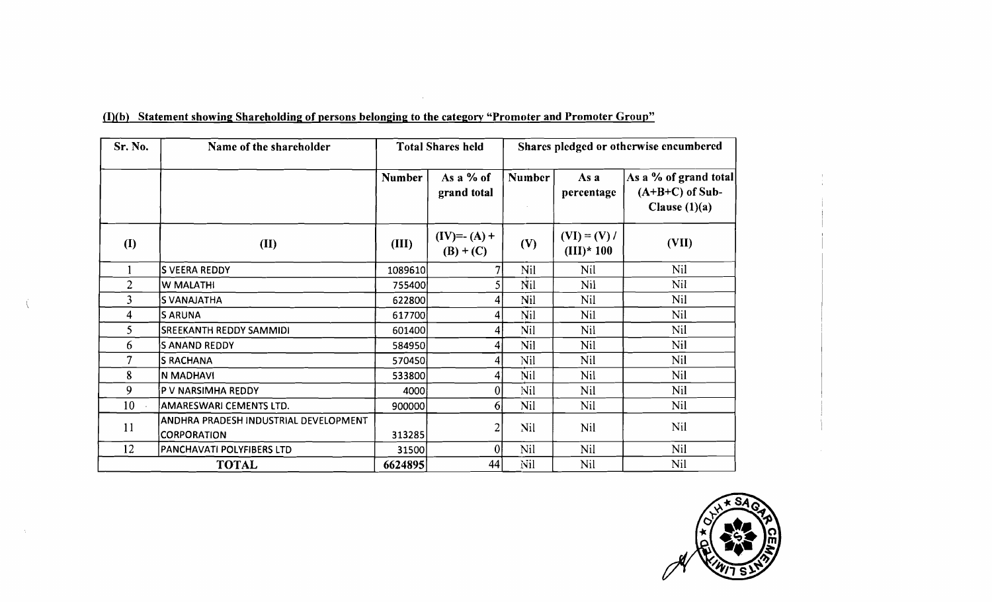| Sr. No.        | Name of the shareholder                                     | <b>Total Shares held</b> | Shares pledged or otherwise encumbered |               |                               |                                                               |
|----------------|-------------------------------------------------------------|--------------------------|----------------------------------------|---------------|-------------------------------|---------------------------------------------------------------|
|                |                                                             | <b>Number</b>            | As a % of<br>grand total               | <b>Number</b> | As a<br>percentage            | As a % of grand total<br>$(A+B+C)$ of Sub-<br>Clause $(1)(a)$ |
| <b>(I)</b>     | (II)                                                        | (III)                    | $(IV)=- (A) +$<br>$(B) + (C)$          | (V)           | $(VI) = (V) /$<br>$(III)*100$ | (VII)                                                         |
|                | S VEERA REDDY                                               | 1089610                  | 7                                      | Nil           | Nil                           | Nil                                                           |
| $\overline{2}$ | W MALATHI                                                   | 755400                   | $\mathsf{S}\vert$                      | Nil           | Nil                           | <b>Nil</b>                                                    |
| 3              | <b>S VANAJATHA</b>                                          | 622800                   | $\vert 4 \vert$                        | Nil           | Nil                           | <b>Nil</b>                                                    |
| 4              | <b>SARUNA</b>                                               | 617700                   | 4                                      | Nil           | Ni1                           | Nil                                                           |
| 5.             | <b>SREEKANTH REDDY SAMMIDI</b>                              |                          | Nil<br>4<br>601400                     |               | Nil                           | Nil                                                           |
| 6              | <b>SANAND REDDY</b>                                         | 584950                   | 4                                      | Nil           | Nil                           | Nil                                                           |
| 7              | <b>S RACHANA</b>                                            | 570450                   | 4                                      | Nil           | Nil                           | Nil                                                           |
| 8              | N MADHAVI                                                   | 533800                   | 4                                      | Nil           | Nil                           | Nil                                                           |
| 9              | P V NARSIMHA REDDY                                          | 4000                     | $\overline{0}$                         | Nil           | <b>Nil</b>                    | <b>Nil</b>                                                    |
| 10             | AMARESWARI CEMENTS LTD.                                     | 900000                   | 6 <sup>1</sup>                         | <b>Nil</b>    | Nil                           | Nil                                                           |
| 11             | ANDHRA PRADESH INDUSTRIAL DEVELOPMENT<br><b>CORPORATION</b> | 313285                   | 2                                      | Nil           | Nil                           | Nil                                                           |
| 12             | PANCHAVATI POLYFIBERS LTD                                   | 31500                    | 0                                      | Nil<br>Nil    |                               | Nil                                                           |
|                | <b>TOTAL</b>                                                | 6624895                  | 44                                     | Nil           | Nil                           | Nil                                                           |

 $\sim 3\%$ 

(I)(b) Statement showing Shareholding of persons belonging to the category "Promoter and Promoter Group"

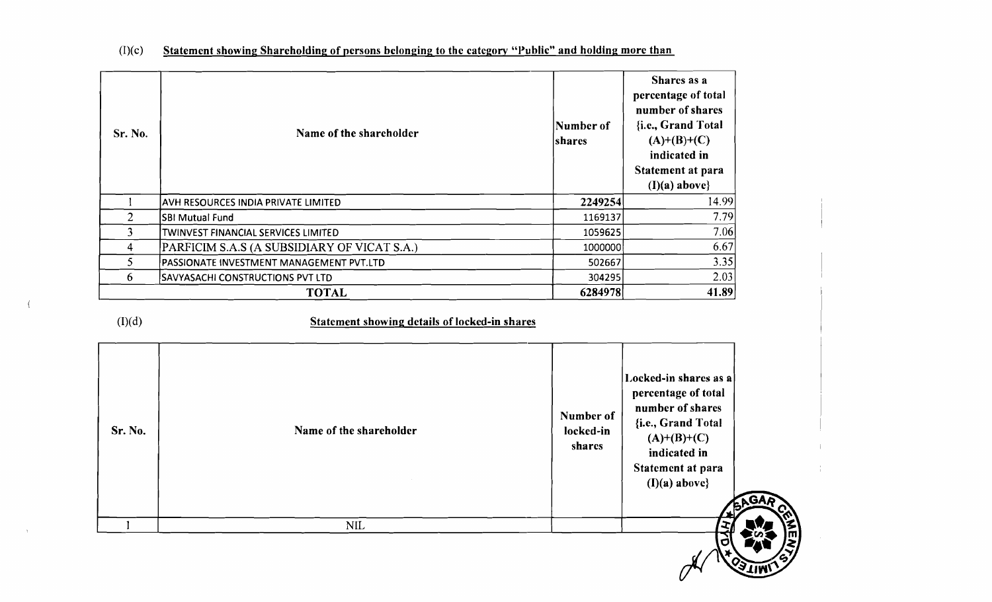| Sr. No.        | Name of the shareholder                       |                                  | Shares as a<br>percentage of total<br>number of shares<br>{i.e., Grand Total<br>$(A)+(B)+(C)$<br>indicated in<br>Statement at para<br>$(I)(a)$ above}                  |
|----------------|-----------------------------------------------|----------------------------------|------------------------------------------------------------------------------------------------------------------------------------------------------------------------|
| $\mathbf{1}$   | AVH RESOURCES INDIA PRIVATE LIMITED           | 2249254                          | 14.99                                                                                                                                                                  |
| $\overline{2}$ | <b>SBI Mutual Fund</b>                        | 1169137                          | 7.79                                                                                                                                                                   |
| 3              | TWINVEST FINANCIAL SERVICES LIMITED           | 1059625                          | 7.06                                                                                                                                                                   |
| $\overline{4}$ | PARFICIM S.A.S (A SUBSIDIARY OF VICAT S.A.)   | 1000000                          | 6.67                                                                                                                                                                   |
| 5              | PASSIONATE INVESTMENT MANAGEMENT PVT.LTD      | 502667                           | 3.35                                                                                                                                                                   |
| 6              | <b>SAVYASACHI CONSTRUCTIONS PVT LTD</b>       | 304295                           | 2.03                                                                                                                                                                   |
|                |                                               |                                  |                                                                                                                                                                        |
|                | <b>TOTAL</b>                                  | 6284978                          | 41.89                                                                                                                                                                  |
| (I)(d)         | Statement showing details of locked-in shares |                                  |                                                                                                                                                                        |
| Sr. No.        | Name of the shareholder                       | Number of<br>locked-in<br>shares | Locked-in shares as a<br>percentage of total<br>number of shares<br>{i.e., Grand Total<br>$(A)+(B)+(C)$<br>indicated in<br>Statement at para<br>$(I)(a)$ above}<br>BAG |

间

## $(I)(c)$  Statement showing Shareholding of persons belonging to the category "Public" and holding more than